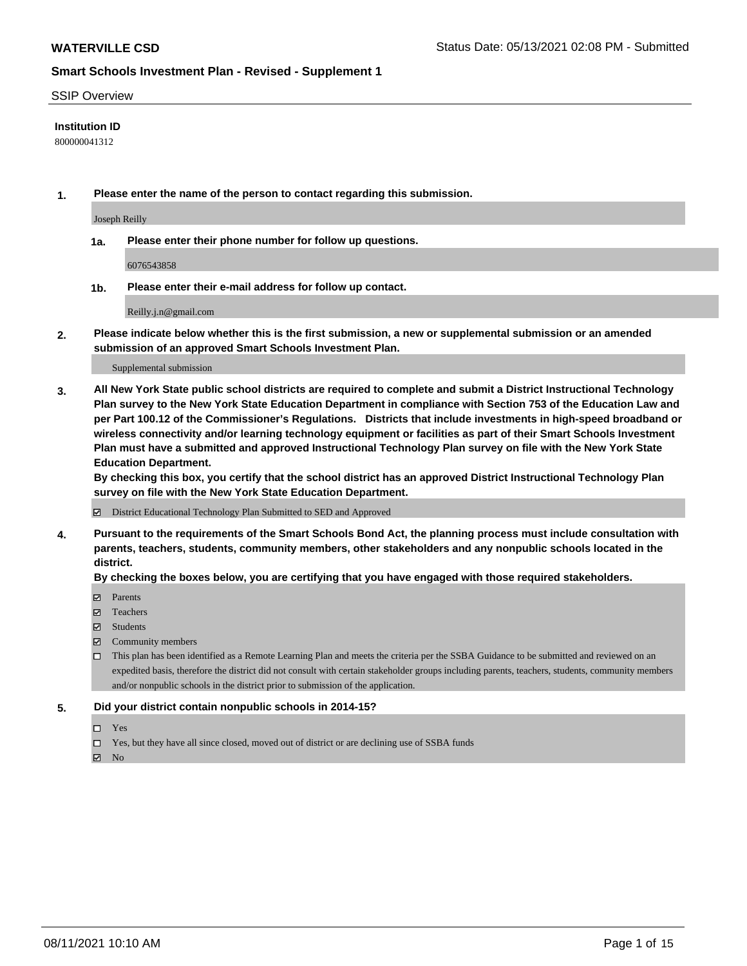### SSIP Overview

### **Institution ID**

800000041312

**1. Please enter the name of the person to contact regarding this submission.**

Joseph Reilly

**1a. Please enter their phone number for follow up questions.**

6076543858

**1b. Please enter their e-mail address for follow up contact.**

Reilly.j.n@gmail.com

**2. Please indicate below whether this is the first submission, a new or supplemental submission or an amended submission of an approved Smart Schools Investment Plan.**

#### Supplemental submission

**3. All New York State public school districts are required to complete and submit a District Instructional Technology Plan survey to the New York State Education Department in compliance with Section 753 of the Education Law and per Part 100.12 of the Commissioner's Regulations. Districts that include investments in high-speed broadband or wireless connectivity and/or learning technology equipment or facilities as part of their Smart Schools Investment Plan must have a submitted and approved Instructional Technology Plan survey on file with the New York State Education Department.** 

**By checking this box, you certify that the school district has an approved District Instructional Technology Plan survey on file with the New York State Education Department.**

District Educational Technology Plan Submitted to SED and Approved

**4. Pursuant to the requirements of the Smart Schools Bond Act, the planning process must include consultation with parents, teachers, students, community members, other stakeholders and any nonpublic schools located in the district.** 

### **By checking the boxes below, you are certifying that you have engaged with those required stakeholders.**

- **Parents**
- Teachers
- Students
- $\boxtimes$  Community members
- This plan has been identified as a Remote Learning Plan and meets the criteria per the SSBA Guidance to be submitted and reviewed on an expedited basis, therefore the district did not consult with certain stakeholder groups including parents, teachers, students, community members and/or nonpublic schools in the district prior to submission of the application.
- **5. Did your district contain nonpublic schools in 2014-15?**
	- □ Yes
	- □ Yes, but they have all since closed, moved out of district or are declining use of SSBA funds

 $M$  No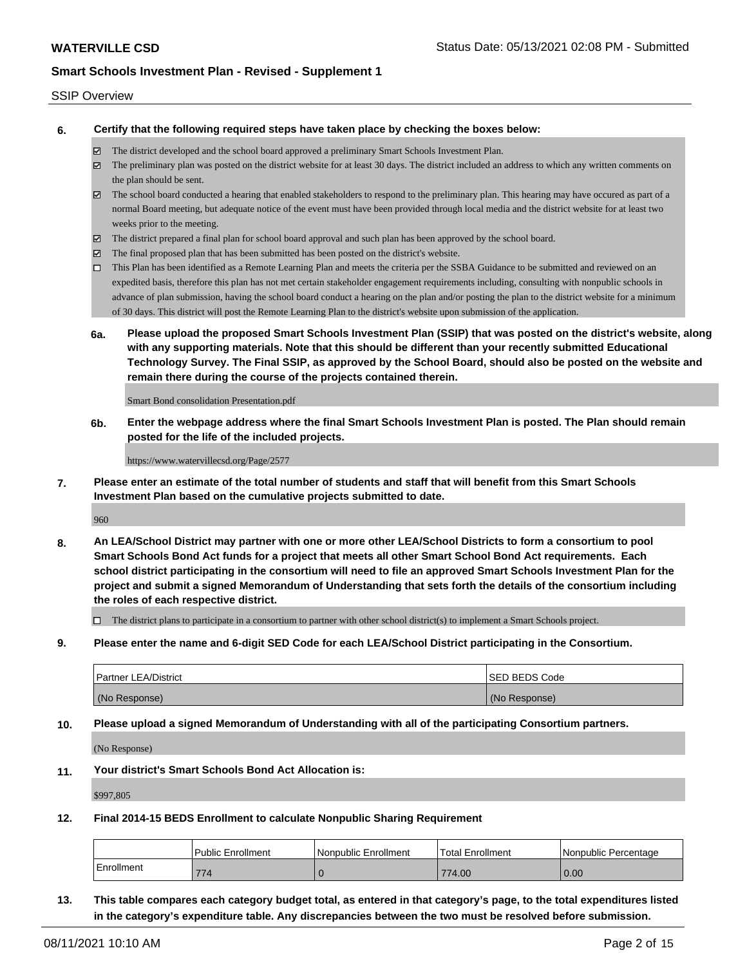### SSIP Overview

**6. Certify that the following required steps have taken place by checking the boxes below:**

- The district developed and the school board approved a preliminary Smart Schools Investment Plan.
- The preliminary plan was posted on the district website for at least 30 days. The district included an address to which any written comments on the plan should be sent.
- The school board conducted a hearing that enabled stakeholders to respond to the preliminary plan. This hearing may have occured as part of a normal Board meeting, but adequate notice of the event must have been provided through local media and the district website for at least two weeks prior to the meeting.
- The district prepared a final plan for school board approval and such plan has been approved by the school board.
- $\boxtimes$  The final proposed plan that has been submitted has been posted on the district's website.
- This Plan has been identified as a Remote Learning Plan and meets the criteria per the SSBA Guidance to be submitted and reviewed on an expedited basis, therefore this plan has not met certain stakeholder engagement requirements including, consulting with nonpublic schools in advance of plan submission, having the school board conduct a hearing on the plan and/or posting the plan to the district website for a minimum of 30 days. This district will post the Remote Learning Plan to the district's website upon submission of the application.
- **6a. Please upload the proposed Smart Schools Investment Plan (SSIP) that was posted on the district's website, along with any supporting materials. Note that this should be different than your recently submitted Educational Technology Survey. The Final SSIP, as approved by the School Board, should also be posted on the website and remain there during the course of the projects contained therein.**

Smart Bond consolidation Presentation.pdf

**6b. Enter the webpage address where the final Smart Schools Investment Plan is posted. The Plan should remain posted for the life of the included projects.**

https://www.watervillecsd.org/Page/2577

**7. Please enter an estimate of the total number of students and staff that will benefit from this Smart Schools Investment Plan based on the cumulative projects submitted to date.**

960

**8. An LEA/School District may partner with one or more other LEA/School Districts to form a consortium to pool Smart Schools Bond Act funds for a project that meets all other Smart School Bond Act requirements. Each school district participating in the consortium will need to file an approved Smart Schools Investment Plan for the project and submit a signed Memorandum of Understanding that sets forth the details of the consortium including the roles of each respective district.**

 $\Box$  The district plans to participate in a consortium to partner with other school district(s) to implement a Smart Schools project.

**9. Please enter the name and 6-digit SED Code for each LEA/School District participating in the Consortium.**

| <b>Partner LEA/District</b> | <b>ISED BEDS Code</b> |
|-----------------------------|-----------------------|
| (No Response)               | (No Response)         |

**10. Please upload a signed Memorandum of Understanding with all of the participating Consortium partners.**

(No Response)

**11. Your district's Smart Schools Bond Act Allocation is:**

\$997,805

**12. Final 2014-15 BEDS Enrollment to calculate Nonpublic Sharing Requirement**

|            | <b>Public Enrollment</b> | l Nonpublic Enrollment | Total Enrollment | I Nonpublic Percentage |
|------------|--------------------------|------------------------|------------------|------------------------|
| Enrollment | 774                      |                        | 774.00           | 0.00                   |

**13. This table compares each category budget total, as entered in that category's page, to the total expenditures listed in the category's expenditure table. Any discrepancies between the two must be resolved before submission.**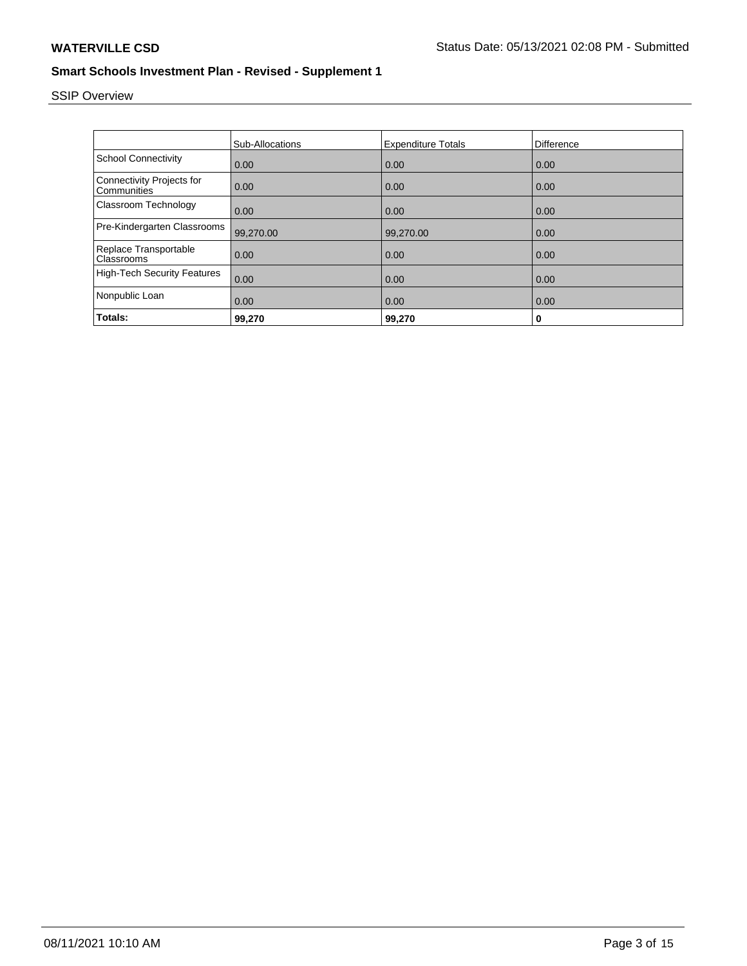# SSIP Overview

|                                                 | Sub-Allocations | <b>Expenditure Totals</b> | Difference |
|-------------------------------------------------|-----------------|---------------------------|------------|
|                                                 |                 |                           |            |
| <b>School Connectivity</b>                      | 0.00            | 0.00                      | 0.00       |
| <b>Connectivity Projects for</b><br>Communities | 0.00            | 0.00                      | 0.00       |
| Classroom Technology                            | 0.00            | 0.00                      | 0.00       |
| Pre-Kindergarten Classrooms                     | 99,270.00       | 99.270.00                 | 0.00       |
| Replace Transportable<br>Classrooms             | 0.00            | 0.00                      | 0.00       |
| <b>High-Tech Security Features</b>              | 0.00            | 0.00                      | 0.00       |
| Nonpublic Loan                                  | 0.00            | 0.00                      | 0.00       |
| Totals:                                         | 99,270          | 99,270                    | 0          |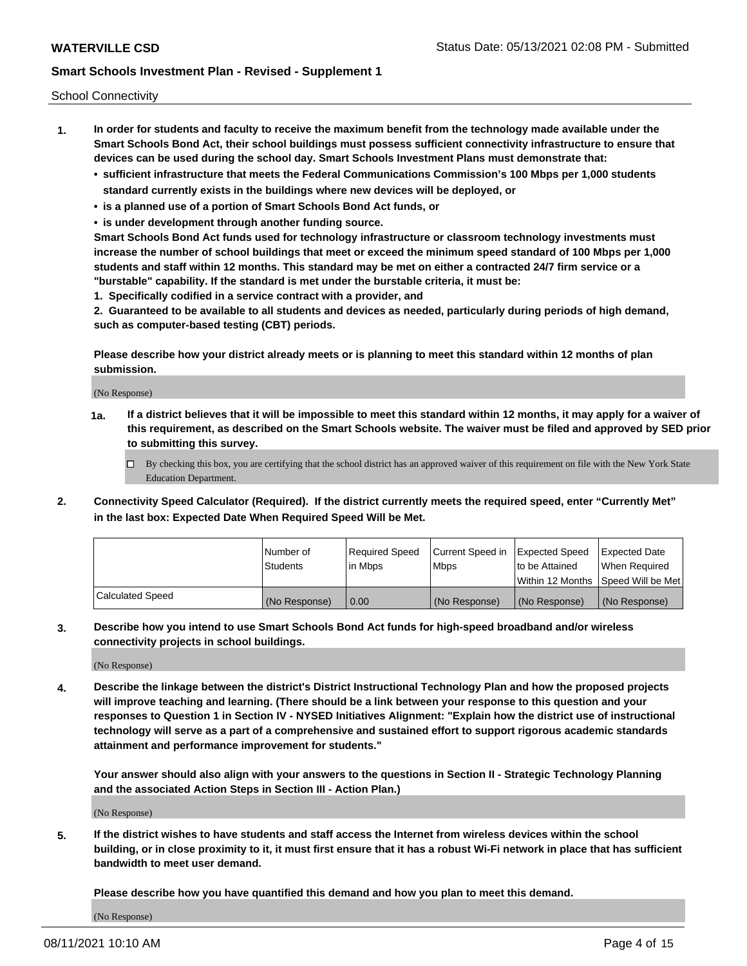School Connectivity

- **1. In order for students and faculty to receive the maximum benefit from the technology made available under the Smart Schools Bond Act, their school buildings must possess sufficient connectivity infrastructure to ensure that devices can be used during the school day. Smart Schools Investment Plans must demonstrate that:**
	- **• sufficient infrastructure that meets the Federal Communications Commission's 100 Mbps per 1,000 students standard currently exists in the buildings where new devices will be deployed, or**
	- **• is a planned use of a portion of Smart Schools Bond Act funds, or**
	- **• is under development through another funding source.**

**Smart Schools Bond Act funds used for technology infrastructure or classroom technology investments must increase the number of school buildings that meet or exceed the minimum speed standard of 100 Mbps per 1,000 students and staff within 12 months. This standard may be met on either a contracted 24/7 firm service or a "burstable" capability. If the standard is met under the burstable criteria, it must be:**

**1. Specifically codified in a service contract with a provider, and**

**2. Guaranteed to be available to all students and devices as needed, particularly during periods of high demand, such as computer-based testing (CBT) periods.**

**Please describe how your district already meets or is planning to meet this standard within 12 months of plan submission.**

(No Response)

**1a. If a district believes that it will be impossible to meet this standard within 12 months, it may apply for a waiver of this requirement, as described on the Smart Schools website. The waiver must be filed and approved by SED prior to submitting this survey.**

 $\Box$  By checking this box, you are certifying that the school district has an approved waiver of this requirement on file with the New York State Education Department.

**2. Connectivity Speed Calculator (Required). If the district currently meets the required speed, enter "Currently Met" in the last box: Expected Date When Required Speed Will be Met.**

|                  | l Number of     | Required Speed | Current Speed in | Expected Speed  | Expected Date                           |
|------------------|-----------------|----------------|------------------|-----------------|-----------------------------------------|
|                  | <b>Students</b> | In Mbps        | l Mbps           | to be Attained  | When Required                           |
|                  |                 |                |                  |                 | l Within 12 Months ISpeed Will be Met l |
| Calculated Speed | (No Response)   | 0.00           | (No Response)    | l (No Response) | l (No Response)                         |

**3. Describe how you intend to use Smart Schools Bond Act funds for high-speed broadband and/or wireless connectivity projects in school buildings.**

(No Response)

**4. Describe the linkage between the district's District Instructional Technology Plan and how the proposed projects will improve teaching and learning. (There should be a link between your response to this question and your responses to Question 1 in Section IV - NYSED Initiatives Alignment: "Explain how the district use of instructional technology will serve as a part of a comprehensive and sustained effort to support rigorous academic standards attainment and performance improvement for students."** 

**Your answer should also align with your answers to the questions in Section II - Strategic Technology Planning and the associated Action Steps in Section III - Action Plan.)**

(No Response)

**5. If the district wishes to have students and staff access the Internet from wireless devices within the school building, or in close proximity to it, it must first ensure that it has a robust Wi-Fi network in place that has sufficient bandwidth to meet user demand.**

**Please describe how you have quantified this demand and how you plan to meet this demand.**

(No Response)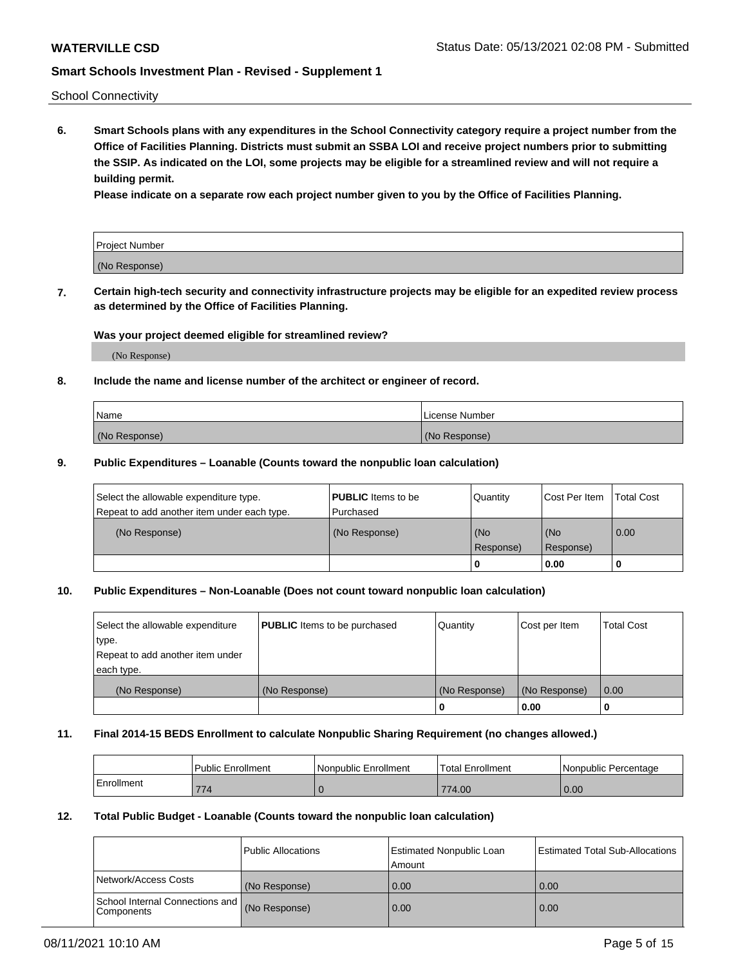School Connectivity

**6. Smart Schools plans with any expenditures in the School Connectivity category require a project number from the Office of Facilities Planning. Districts must submit an SSBA LOI and receive project numbers prior to submitting the SSIP. As indicated on the LOI, some projects may be eligible for a streamlined review and will not require a building permit.**

**Please indicate on a separate row each project number given to you by the Office of Facilities Planning.**

| Project Number |  |
|----------------|--|
| (No Response)  |  |

**7. Certain high-tech security and connectivity infrastructure projects may be eligible for an expedited review process as determined by the Office of Facilities Planning.**

### **Was your project deemed eligible for streamlined review?**

(No Response)

### **8. Include the name and license number of the architect or engineer of record.**

| Name          | License Number |
|---------------|----------------|
| (No Response) | (No Response)  |

### **9. Public Expenditures – Loanable (Counts toward the nonpublic loan calculation)**

| Select the allowable expenditure type.<br>Repeat to add another item under each type. | <b>PUBLIC</b> Items to be<br>l Purchased | Quantity           | Cost Per Item    | <b>Total Cost</b> |
|---------------------------------------------------------------------------------------|------------------------------------------|--------------------|------------------|-------------------|
| (No Response)                                                                         | (No Response)                            | l (No<br>Response) | (No<br>Response) | $\overline{0.00}$ |
|                                                                                       |                                          | O                  | 0.00             |                   |

## **10. Public Expenditures – Non-Loanable (Does not count toward nonpublic loan calculation)**

| Select the allowable expenditure<br>type.<br>Repeat to add another item under<br>each type. | <b>PUBLIC</b> Items to be purchased | Quantity      | Cost per Item | <b>Total Cost</b> |
|---------------------------------------------------------------------------------------------|-------------------------------------|---------------|---------------|-------------------|
| (No Response)                                                                               | (No Response)                       | (No Response) | (No Response) | 0.00              |
|                                                                                             |                                     |               | 0.00          |                   |

### **11. Final 2014-15 BEDS Enrollment to calculate Nonpublic Sharing Requirement (no changes allowed.)**

|            | Public Enrollment | Nonpublic Enrollment | 'Total Enrollment | l Nonpublic Percentage |
|------------|-------------------|----------------------|-------------------|------------------------|
| Enrollment | 774               |                      | 774.00            | 0.00                   |

### **12. Total Public Budget - Loanable (Counts toward the nonpublic loan calculation)**

|                                                 | Public Allocations | Estimated Nonpublic Loan<br>Amount | <b>Estimated Total Sub-Allocations</b> |
|-------------------------------------------------|--------------------|------------------------------------|----------------------------------------|
| Network/Access Costs                            | (No Response)      | 0.00                               | 0.00                                   |
| School Internal Connections and<br>l Components | (No Response)      | 0.00                               | 0.00                                   |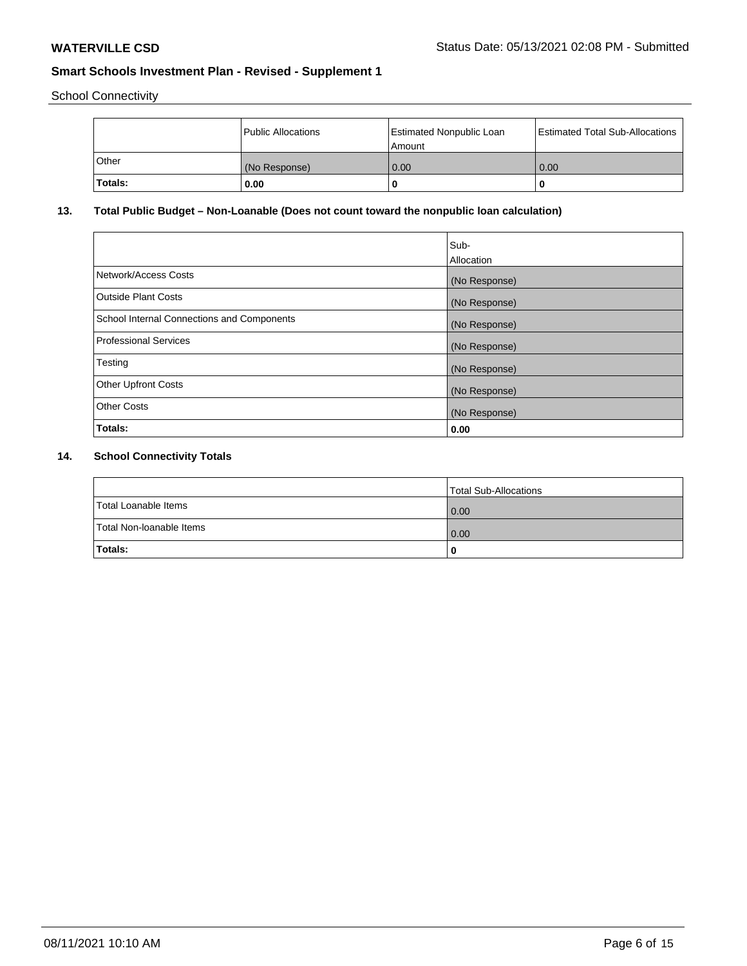School Connectivity

|         | Public Allocations | <b>Estimated Nonpublic Loan</b><br>l Amount | <b>Estimated Total Sub-Allocations</b> |
|---------|--------------------|---------------------------------------------|----------------------------------------|
| l Other | (No Response)      | 0.00                                        | 0.00                                   |
| Totals: | 0.00               | 0                                           |                                        |

## **13. Total Public Budget – Non-Loanable (Does not count toward the nonpublic loan calculation)**

|                                                   | Sub-<br>Allocation |
|---------------------------------------------------|--------------------|
| Network/Access Costs                              | (No Response)      |
| Outside Plant Costs                               | (No Response)      |
| <b>School Internal Connections and Components</b> | (No Response)      |
| Professional Services                             | (No Response)      |
| Testing                                           | (No Response)      |
| <b>Other Upfront Costs</b>                        | (No Response)      |
| <b>Other Costs</b>                                | (No Response)      |
| Totals:                                           | 0.00               |

## **14. School Connectivity Totals**

|                          | Total Sub-Allocations |
|--------------------------|-----------------------|
| Total Loanable Items     | 0.00                  |
| Total Non-Ioanable Items | 0.00                  |
| Totals:                  | 0                     |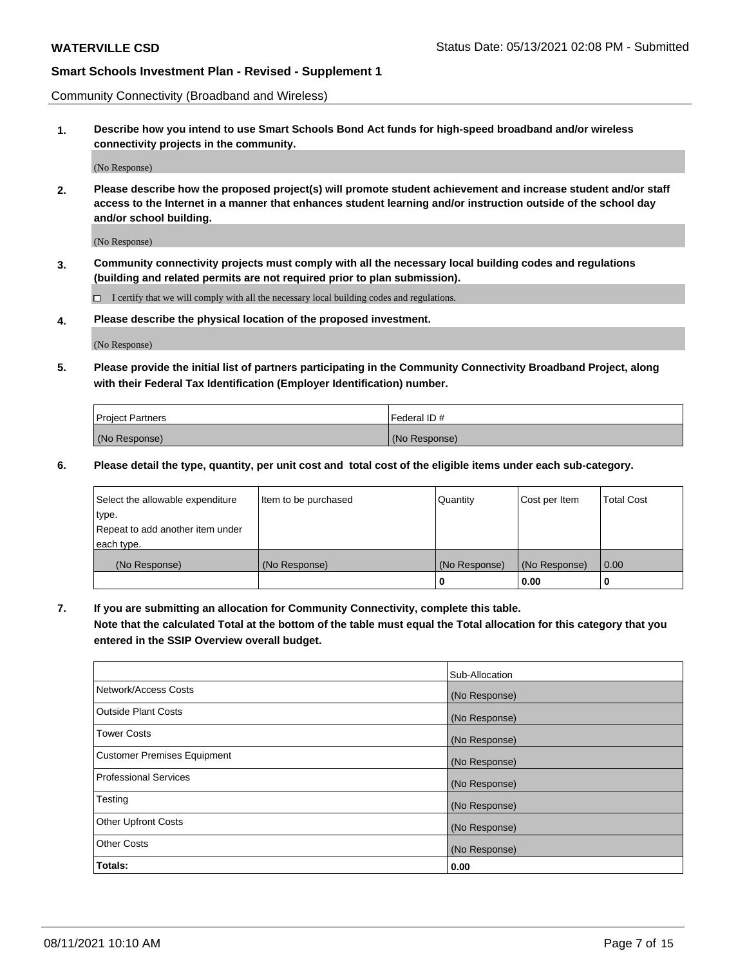Community Connectivity (Broadband and Wireless)

**1. Describe how you intend to use Smart Schools Bond Act funds for high-speed broadband and/or wireless connectivity projects in the community.**

(No Response)

**2. Please describe how the proposed project(s) will promote student achievement and increase student and/or staff access to the Internet in a manner that enhances student learning and/or instruction outside of the school day and/or school building.**

(No Response)

**3. Community connectivity projects must comply with all the necessary local building codes and regulations (building and related permits are not required prior to plan submission).**

 $\Box$  I certify that we will comply with all the necessary local building codes and regulations.

**4. Please describe the physical location of the proposed investment.**

(No Response)

**5. Please provide the initial list of partners participating in the Community Connectivity Broadband Project, along with their Federal Tax Identification (Employer Identification) number.**

| <b>Project Partners</b> | l Federal ID # |
|-------------------------|----------------|
| (No Response)           | (No Response)  |

**6. Please detail the type, quantity, per unit cost and total cost of the eligible items under each sub-category.**

| Select the allowable expenditure | Item to be purchased | Quantity      | Cost per Item | <b>Total Cost</b> |
|----------------------------------|----------------------|---------------|---------------|-------------------|
| type.                            |                      |               |               |                   |
| Repeat to add another item under |                      |               |               |                   |
| each type.                       |                      |               |               |                   |
| (No Response)                    | (No Response)        | (No Response) | (No Response) | 0.00              |
|                                  |                      | o             | 0.00          |                   |

**7. If you are submitting an allocation for Community Connectivity, complete this table.**

**Note that the calculated Total at the bottom of the table must equal the Total allocation for this category that you entered in the SSIP Overview overall budget.**

|                                    | Sub-Allocation |
|------------------------------------|----------------|
| Network/Access Costs               | (No Response)  |
| Outside Plant Costs                | (No Response)  |
| <b>Tower Costs</b>                 | (No Response)  |
| <b>Customer Premises Equipment</b> | (No Response)  |
| <b>Professional Services</b>       | (No Response)  |
| Testing                            | (No Response)  |
| <b>Other Upfront Costs</b>         | (No Response)  |
| <b>Other Costs</b>                 | (No Response)  |
| Totals:                            | 0.00           |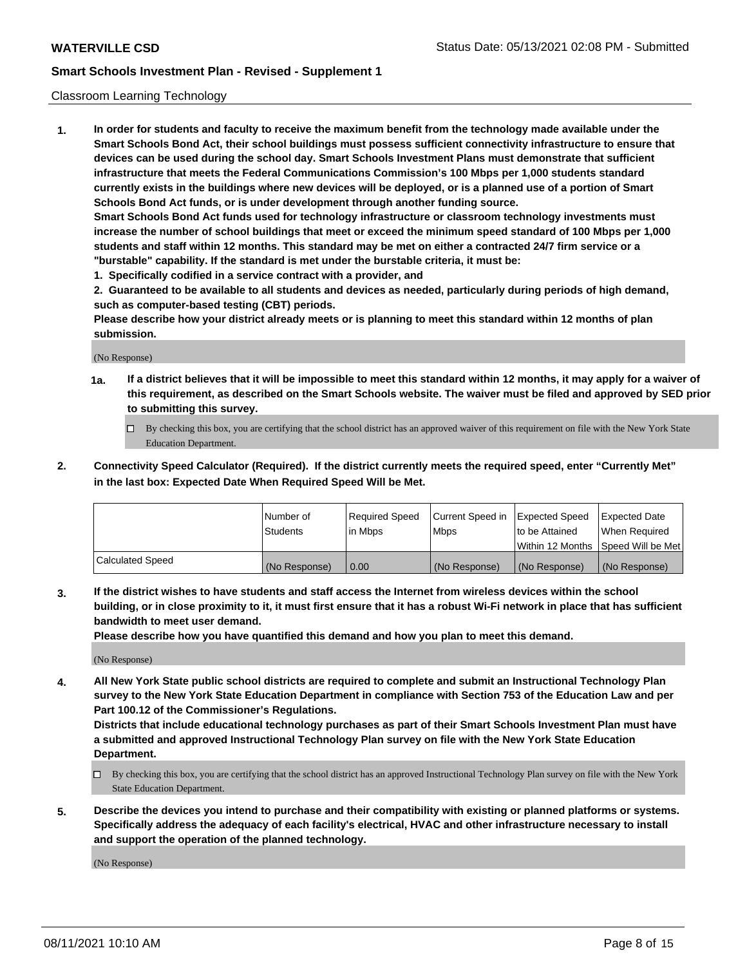### Classroom Learning Technology

**1. In order for students and faculty to receive the maximum benefit from the technology made available under the Smart Schools Bond Act, their school buildings must possess sufficient connectivity infrastructure to ensure that devices can be used during the school day. Smart Schools Investment Plans must demonstrate that sufficient infrastructure that meets the Federal Communications Commission's 100 Mbps per 1,000 students standard currently exists in the buildings where new devices will be deployed, or is a planned use of a portion of Smart Schools Bond Act funds, or is under development through another funding source. Smart Schools Bond Act funds used for technology infrastructure or classroom technology investments must increase the number of school buildings that meet or exceed the minimum speed standard of 100 Mbps per 1,000 students and staff within 12 months. This standard may be met on either a contracted 24/7 firm service or a "burstable" capability. If the standard is met under the burstable criteria, it must be:**

**1. Specifically codified in a service contract with a provider, and**

**2. Guaranteed to be available to all students and devices as needed, particularly during periods of high demand, such as computer-based testing (CBT) periods.**

**Please describe how your district already meets or is planning to meet this standard within 12 months of plan submission.**

(No Response)

- **1a. If a district believes that it will be impossible to meet this standard within 12 months, it may apply for a waiver of this requirement, as described on the Smart Schools website. The waiver must be filed and approved by SED prior to submitting this survey.**
	- By checking this box, you are certifying that the school district has an approved waiver of this requirement on file with the New York State Education Department.
- **2. Connectivity Speed Calculator (Required). If the district currently meets the required speed, enter "Currently Met" in the last box: Expected Date When Required Speed Will be Met.**

|                  | l Number of     | Required Speed | Current Speed in | <b>Expected Speed</b> | <b>Expected Date</b>                |
|------------------|-----------------|----------------|------------------|-----------------------|-------------------------------------|
|                  | <b>Students</b> | l in Mbps      | l Mbps           | to be Attained        | When Required                       |
|                  |                 |                |                  |                       | Within 12 Months  Speed Will be Met |
| Calculated Speed | (No Response)   | 0.00           | (No Response)    | l (No Response)       | (No Response)                       |

**3. If the district wishes to have students and staff access the Internet from wireless devices within the school building, or in close proximity to it, it must first ensure that it has a robust Wi-Fi network in place that has sufficient bandwidth to meet user demand.**

**Please describe how you have quantified this demand and how you plan to meet this demand.**

(No Response)

**4. All New York State public school districts are required to complete and submit an Instructional Technology Plan survey to the New York State Education Department in compliance with Section 753 of the Education Law and per Part 100.12 of the Commissioner's Regulations.**

**Districts that include educational technology purchases as part of their Smart Schools Investment Plan must have a submitted and approved Instructional Technology Plan survey on file with the New York State Education Department.**

- By checking this box, you are certifying that the school district has an approved Instructional Technology Plan survey on file with the New York State Education Department.
- **5. Describe the devices you intend to purchase and their compatibility with existing or planned platforms or systems. Specifically address the adequacy of each facility's electrical, HVAC and other infrastructure necessary to install and support the operation of the planned technology.**

(No Response)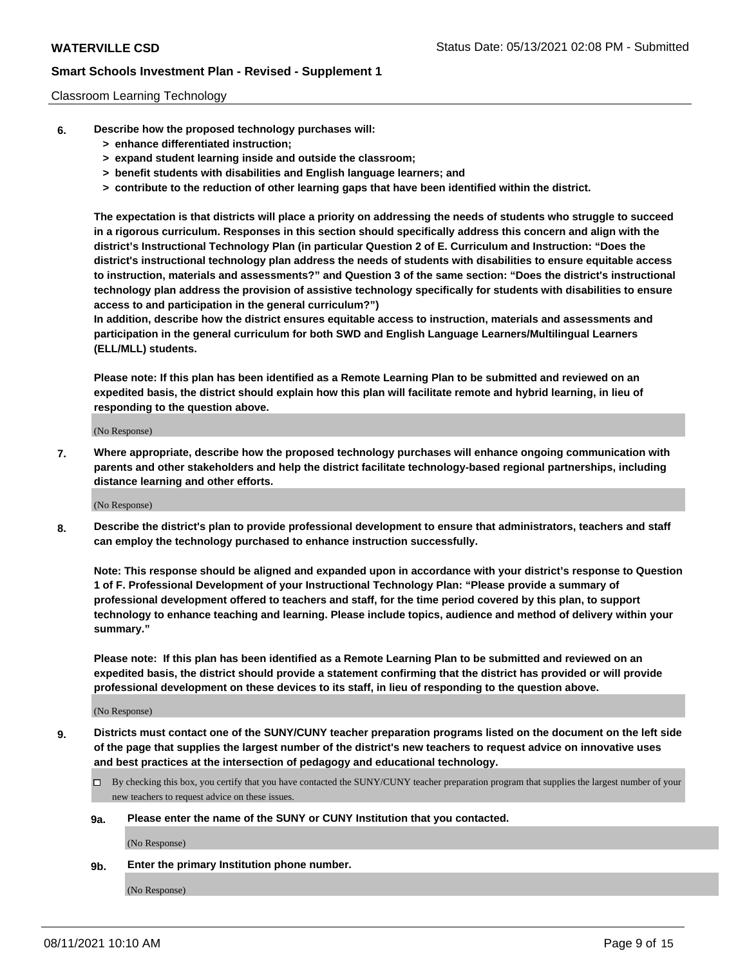### Classroom Learning Technology

- **6. Describe how the proposed technology purchases will:**
	- **> enhance differentiated instruction;**
	- **> expand student learning inside and outside the classroom;**
	- **> benefit students with disabilities and English language learners; and**
	- **> contribute to the reduction of other learning gaps that have been identified within the district.**

**The expectation is that districts will place a priority on addressing the needs of students who struggle to succeed in a rigorous curriculum. Responses in this section should specifically address this concern and align with the district's Instructional Technology Plan (in particular Question 2 of E. Curriculum and Instruction: "Does the district's instructional technology plan address the needs of students with disabilities to ensure equitable access to instruction, materials and assessments?" and Question 3 of the same section: "Does the district's instructional technology plan address the provision of assistive technology specifically for students with disabilities to ensure access to and participation in the general curriculum?")**

**In addition, describe how the district ensures equitable access to instruction, materials and assessments and participation in the general curriculum for both SWD and English Language Learners/Multilingual Learners (ELL/MLL) students.**

**Please note: If this plan has been identified as a Remote Learning Plan to be submitted and reviewed on an expedited basis, the district should explain how this plan will facilitate remote and hybrid learning, in lieu of responding to the question above.**

(No Response)

**7. Where appropriate, describe how the proposed technology purchases will enhance ongoing communication with parents and other stakeholders and help the district facilitate technology-based regional partnerships, including distance learning and other efforts.**

(No Response)

**8. Describe the district's plan to provide professional development to ensure that administrators, teachers and staff can employ the technology purchased to enhance instruction successfully.**

**Note: This response should be aligned and expanded upon in accordance with your district's response to Question 1 of F. Professional Development of your Instructional Technology Plan: "Please provide a summary of professional development offered to teachers and staff, for the time period covered by this plan, to support technology to enhance teaching and learning. Please include topics, audience and method of delivery within your summary."**

**Please note: If this plan has been identified as a Remote Learning Plan to be submitted and reviewed on an expedited basis, the district should provide a statement confirming that the district has provided or will provide professional development on these devices to its staff, in lieu of responding to the question above.**

(No Response)

- **9. Districts must contact one of the SUNY/CUNY teacher preparation programs listed on the document on the left side of the page that supplies the largest number of the district's new teachers to request advice on innovative uses and best practices at the intersection of pedagogy and educational technology.**
	- $\Box$  By checking this box, you certify that you have contacted the SUNY/CUNY teacher preparation program that supplies the largest number of your new teachers to request advice on these issues.

### **9a. Please enter the name of the SUNY or CUNY Institution that you contacted.**

(No Response)

**9b. Enter the primary Institution phone number.**

(No Response)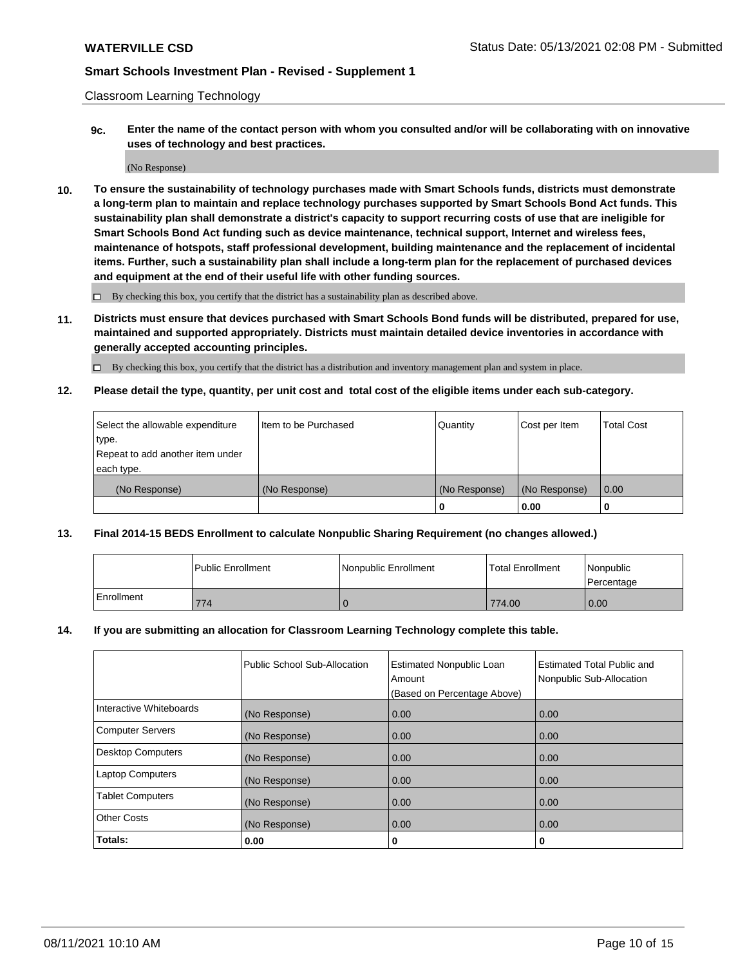Classroom Learning Technology

**9c. Enter the name of the contact person with whom you consulted and/or will be collaborating with on innovative uses of technology and best practices.**

(No Response)

**10. To ensure the sustainability of technology purchases made with Smart Schools funds, districts must demonstrate a long-term plan to maintain and replace technology purchases supported by Smart Schools Bond Act funds. This sustainability plan shall demonstrate a district's capacity to support recurring costs of use that are ineligible for Smart Schools Bond Act funding such as device maintenance, technical support, Internet and wireless fees, maintenance of hotspots, staff professional development, building maintenance and the replacement of incidental items. Further, such a sustainability plan shall include a long-term plan for the replacement of purchased devices and equipment at the end of their useful life with other funding sources.**

 $\square$  By checking this box, you certify that the district has a sustainability plan as described above.

**11. Districts must ensure that devices purchased with Smart Schools Bond funds will be distributed, prepared for use, maintained and supported appropriately. Districts must maintain detailed device inventories in accordance with generally accepted accounting principles.**

By checking this box, you certify that the district has a distribution and inventory management plan and system in place.

**12. Please detail the type, quantity, per unit cost and total cost of the eligible items under each sub-category.**

| Select the allowable expenditure | Iltem to be Purchased | Quantity      | Cost per Item | Total Cost |
|----------------------------------|-----------------------|---------------|---------------|------------|
| type.                            |                       |               |               |            |
| Repeat to add another item under |                       |               |               |            |
| each type.                       |                       |               |               |            |
| (No Response)                    | (No Response)         | (No Response) | (No Response) | 0.00       |
|                                  |                       |               | 0.00          |            |

### **13. Final 2014-15 BEDS Enrollment to calculate Nonpublic Sharing Requirement (no changes allowed.)**

|                   | l Public Enrollment | Nonpublic Enrollment | <b>Total Enrollment</b> | <i>Nonpublic</i><br>Percentage |
|-------------------|---------------------|----------------------|-------------------------|--------------------------------|
| <b>Enrollment</b> | 774                 |                      | 774.00                  | 0.00                           |

### **14. If you are submitting an allocation for Classroom Learning Technology complete this table.**

|                          | Public School Sub-Allocation | <b>Estimated Nonpublic Loan</b><br>Amount | Estimated Total Public and<br>Nonpublic Sub-Allocation |
|--------------------------|------------------------------|-------------------------------------------|--------------------------------------------------------|
|                          |                              | (Based on Percentage Above)               |                                                        |
| Interactive Whiteboards  | (No Response)                | 0.00                                      | 0.00                                                   |
| <b>Computer Servers</b>  | (No Response)                | 0.00                                      | 0.00                                                   |
| <b>Desktop Computers</b> | (No Response)                | 0.00                                      | 0.00                                                   |
| <b>Laptop Computers</b>  | (No Response)                | 0.00                                      | 0.00                                                   |
| <b>Tablet Computers</b>  | (No Response)                | 0.00                                      | 0.00                                                   |
| <b>Other Costs</b>       | (No Response)                | 0.00                                      | 0.00                                                   |
| Totals:                  | 0.00                         | 0                                         | 0                                                      |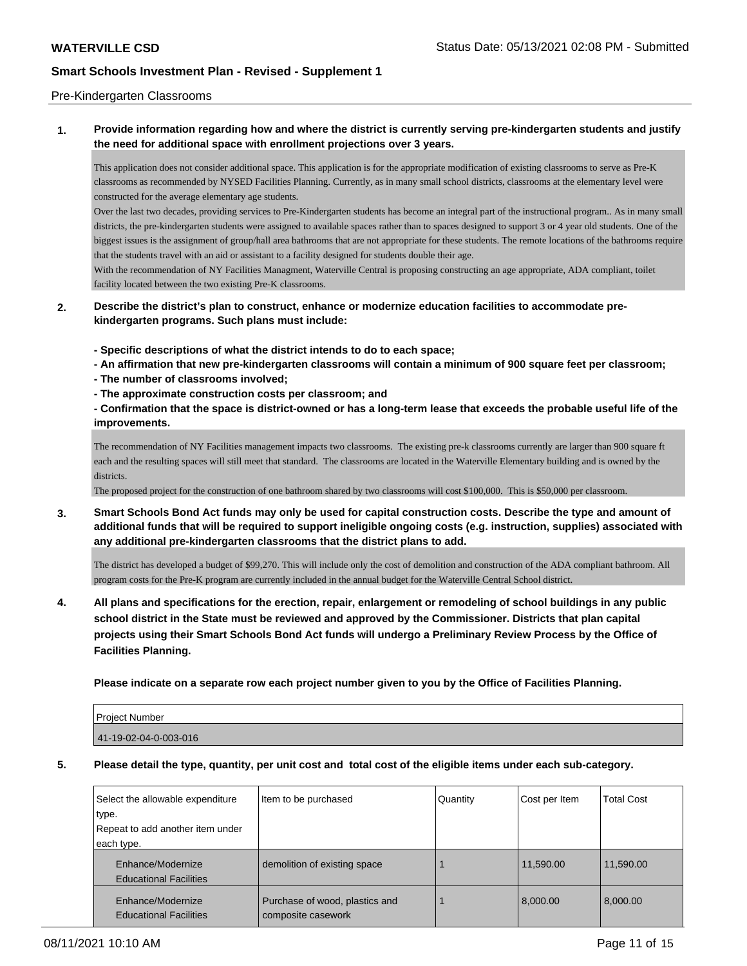### Pre-Kindergarten Classrooms

**1. Provide information regarding how and where the district is currently serving pre-kindergarten students and justify the need for additional space with enrollment projections over 3 years.**

This application does not consider additional space. This application is for the appropriate modification of existing classrooms to serve as Pre-K classrooms as recommended by NYSED Facilities Planning. Currently, as in many small school districts, classrooms at the elementary level were constructed for the average elementary age students.

Over the last two decades, providing services to Pre-Kindergarten students has become an integral part of the instructional program.. As in many small districts, the pre-kindergarten students were assigned to available spaces rather than to spaces designed to support 3 or 4 year old students. One of the biggest issues is the assignment of group/hall area bathrooms that are not appropriate for these students. The remote locations of the bathrooms require that the students travel with an aid or assistant to a facility designed for students double their age.

With the recommendation of NY Facilities Managment, Waterville Central is proposing constructing an age appropriate, ADA compliant, toilet facility located between the two existing Pre-K classrooms.

- **2. Describe the district's plan to construct, enhance or modernize education facilities to accommodate prekindergarten programs. Such plans must include:**
	- **Specific descriptions of what the district intends to do to each space;**
	- **An affirmation that new pre-kindergarten classrooms will contain a minimum of 900 square feet per classroom;**
	- **The number of classrooms involved;**
	- **The approximate construction costs per classroom; and**
	- **Confirmation that the space is district-owned or has a long-term lease that exceeds the probable useful life of the improvements.**

The recommendation of NY Facilities management impacts two classrooms. The existing pre-k classrooms currently are larger than 900 square ft each and the resulting spaces will still meet that standard. The classrooms are located in the Waterville Elementary building and is owned by the districts.

The proposed project for the construction of one bathroom shared by two classrooms will cost \$100,000. This is \$50,000 per classroom.

**3. Smart Schools Bond Act funds may only be used for capital construction costs. Describe the type and amount of additional funds that will be required to support ineligible ongoing costs (e.g. instruction, supplies) associated with any additional pre-kindergarten classrooms that the district plans to add.**

The district has developed a budget of \$99,270. This will include only the cost of demolition and construction of the ADA compliant bathroom. All program costs for the Pre-K program are currently included in the annual budget for the Waterville Central School district.

**4. All plans and specifications for the erection, repair, enlargement or remodeling of school buildings in any public school district in the State must be reviewed and approved by the Commissioner. Districts that plan capital projects using their Smart Schools Bond Act funds will undergo a Preliminary Review Process by the Office of Facilities Planning.**

**Please indicate on a separate row each project number given to you by the Office of Facilities Planning.**

| Project Number        |  |
|-----------------------|--|
| 41-19-02-04-0-003-016 |  |
|                       |  |

**5. Please detail the type, quantity, per unit cost and total cost of the eligible items under each sub-category.**

| Select the allowable expenditure<br>type.<br>Repeat to add another item under<br>each type. | Item to be purchased                                 | Quantity | Cost per Item | <b>Total Cost</b> |
|---------------------------------------------------------------------------------------------|------------------------------------------------------|----------|---------------|-------------------|
| Enhance/Modernize<br><b>Educational Facilities</b>                                          | demolition of existing space                         |          | 11,590.00     | 11,590.00         |
| Enhance/Modernize<br><b>Educational Facilities</b>                                          | Purchase of wood, plastics and<br>composite casework |          | 8.000.00      | 8,000.00          |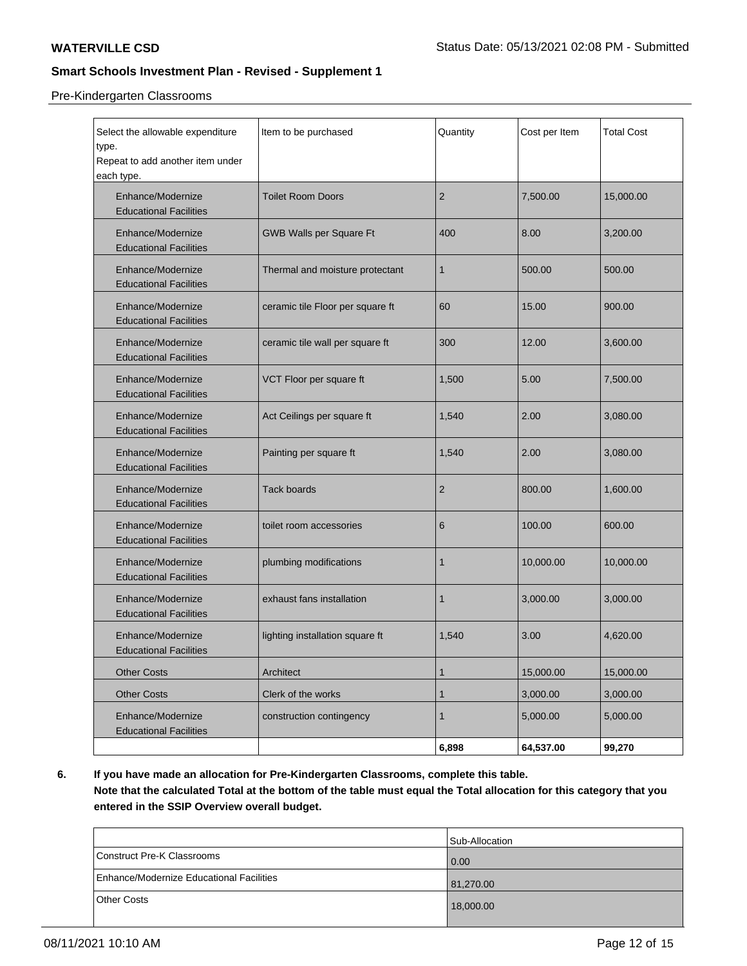## Pre-Kindergarten Classrooms

| Select the allowable expenditure<br>type.<br>Repeat to add another item under<br>each type. | Item to be purchased             | Quantity       | Cost per Item | <b>Total Cost</b> |
|---------------------------------------------------------------------------------------------|----------------------------------|----------------|---------------|-------------------|
| Enhance/Modernize<br><b>Educational Facilities</b>                                          | <b>Toilet Room Doors</b>         | $\overline{2}$ | 7,500.00      | 15,000.00         |
| Enhance/Modernize<br><b>Educational Facilities</b>                                          | GWB Walls per Square Ft          | 400            | 8.00          | 3,200.00          |
| Enhance/Modernize<br><b>Educational Facilities</b>                                          | Thermal and moisture protectant  | 1              | 500.00        | 500.00            |
| Enhance/Modernize<br><b>Educational Facilities</b>                                          | ceramic tile Floor per square ft | 60             | 15.00         | 900.00            |
| Enhance/Modernize<br><b>Educational Facilities</b>                                          | ceramic tile wall per square ft  | 300            | 12.00         | 3,600.00          |
| Enhance/Modernize<br><b>Educational Facilities</b>                                          | VCT Floor per square ft          | 1,500          | 5.00          | 7,500.00          |
| Enhance/Modernize<br><b>Educational Facilities</b>                                          | Act Ceilings per square ft       | 1,540          | 2.00          | 3,080.00          |
| Enhance/Modernize<br><b>Educational Facilities</b>                                          | Painting per square ft           | 1,540          | 2.00          | 3,080.00          |
| Enhance/Modernize<br><b>Educational Facilities</b>                                          | <b>Tack boards</b>               | 2              | 800.00        | 1,600.00          |
| Enhance/Modernize<br><b>Educational Facilities</b>                                          | toilet room accessories          | 6              | 100.00        | 600.00            |
| Enhance/Modernize<br><b>Educational Facilities</b>                                          | plumbing modifications           | 1              | 10,000.00     | 10,000.00         |
| Enhance/Modernize<br><b>Educational Facilities</b>                                          | exhaust fans installation        | 1              | 3,000.00      | 3,000.00          |
| Enhance/Modernize<br><b>Educational Facilities</b>                                          | lighting installation square ft  | 1,540          | 3.00          | 4,620.00          |
| <b>Other Costs</b>                                                                          | Architect                        | $\mathbf{1}$   | 15,000.00     | 15,000.00         |
| <b>Other Costs</b>                                                                          | Clerk of the works               | $\mathbf{1}$   | 3,000.00      | 3,000.00          |
| Enhance/Modernize<br><b>Educational Facilities</b>                                          | construction contingency         | 1              | 5,000.00      | 5,000.00          |
|                                                                                             |                                  | 6,898          | 64,537.00     | 99,270            |

**6. If you have made an allocation for Pre-Kindergarten Classrooms, complete this table.**

**Note that the calculated Total at the bottom of the table must equal the Total allocation for this category that you entered in the SSIP Overview overall budget.**

|                                          | Sub-Allocation |
|------------------------------------------|----------------|
| Construct Pre-K Classrooms               | 0.00           |
| Enhance/Modernize Educational Facilities | 81,270.00      |
| Other Costs                              | 18,000.00      |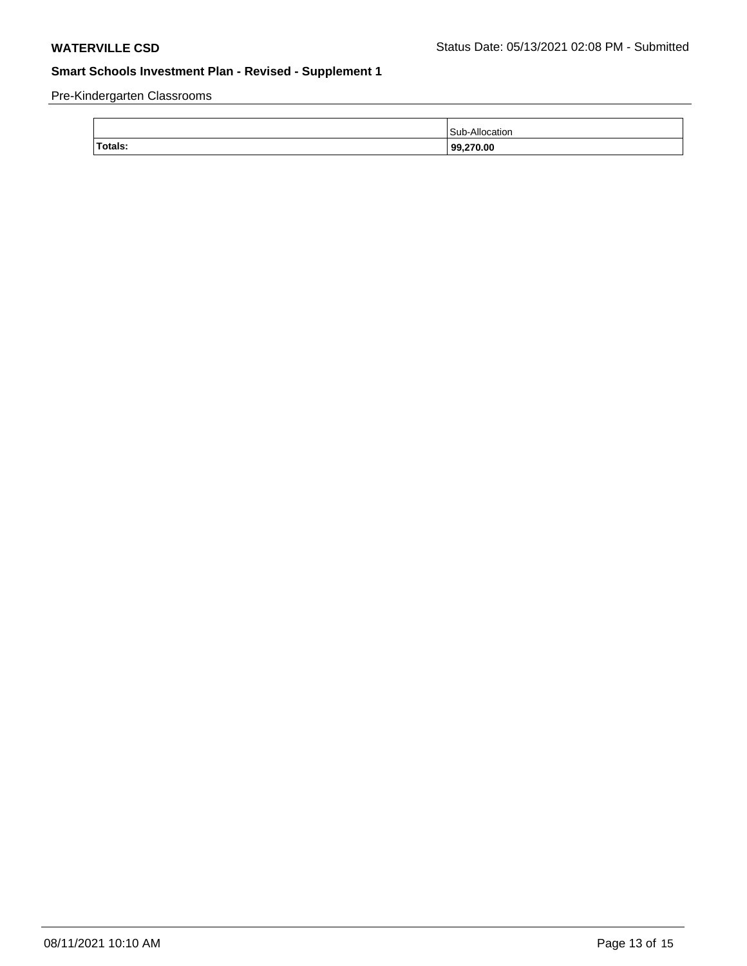Pre-Kindergarten Classrooms

| Totals: | 99,270.00      |
|---------|----------------|
|         | Sub-Allocation |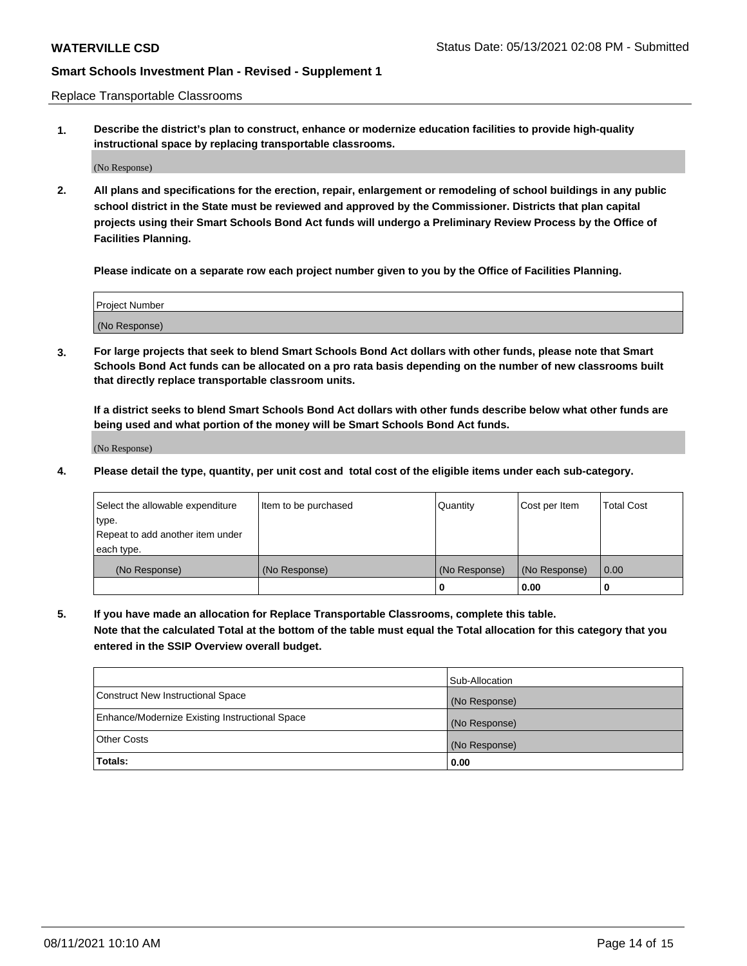Replace Transportable Classrooms

**1. Describe the district's plan to construct, enhance or modernize education facilities to provide high-quality instructional space by replacing transportable classrooms.**

(No Response)

**2. All plans and specifications for the erection, repair, enlargement or remodeling of school buildings in any public school district in the State must be reviewed and approved by the Commissioner. Districts that plan capital projects using their Smart Schools Bond Act funds will undergo a Preliminary Review Process by the Office of Facilities Planning.**

**Please indicate on a separate row each project number given to you by the Office of Facilities Planning.**

| Project Number |  |
|----------------|--|
|                |  |
|                |  |
|                |  |
|                |  |
| (No Response)  |  |
|                |  |
|                |  |
|                |  |

**3. For large projects that seek to blend Smart Schools Bond Act dollars with other funds, please note that Smart Schools Bond Act funds can be allocated on a pro rata basis depending on the number of new classrooms built that directly replace transportable classroom units.**

**If a district seeks to blend Smart Schools Bond Act dollars with other funds describe below what other funds are being used and what portion of the money will be Smart Schools Bond Act funds.**

(No Response)

**4. Please detail the type, quantity, per unit cost and total cost of the eligible items under each sub-category.**

| Select the allowable expenditure | Item to be purchased | Quantity      | Cost per Item | Total Cost |
|----------------------------------|----------------------|---------------|---------------|------------|
| ∣type.                           |                      |               |               |            |
| Repeat to add another item under |                      |               |               |            |
| each type.                       |                      |               |               |            |
| (No Response)                    | (No Response)        | (No Response) | (No Response) | 0.00       |
|                                  |                      | u             | 0.00          |            |

**5. If you have made an allocation for Replace Transportable Classrooms, complete this table. Note that the calculated Total at the bottom of the table must equal the Total allocation for this category that you entered in the SSIP Overview overall budget.**

|                                                | Sub-Allocation |
|------------------------------------------------|----------------|
| Construct New Instructional Space              | (No Response)  |
| Enhance/Modernize Existing Instructional Space | (No Response)  |
| Other Costs                                    | (No Response)  |
| Totals:                                        | 0.00           |